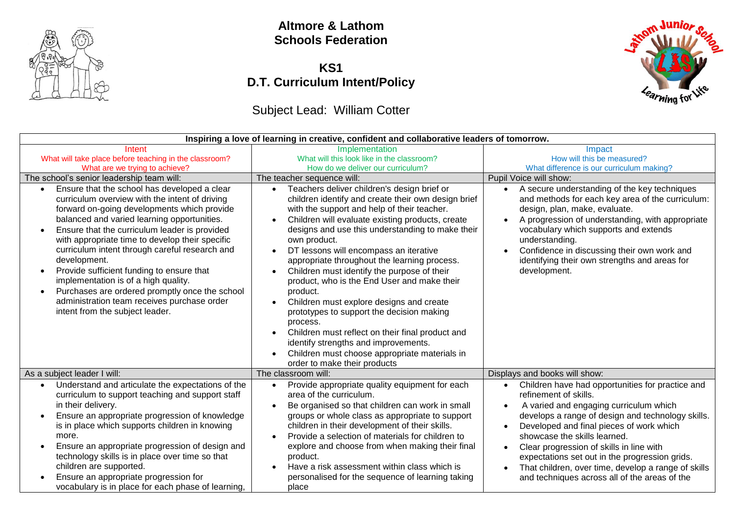

#### **Altmore & Lathom Schools Federation**

### **KS1 D.T. Curriculum Intent/Policy**

# Subject Lead: William Cotter



| Inspiring a love of learning in creative, confident and collaborative leaders of tomorrow.                                                                                                                                                                                                                                                                                                                                                                                                                                                                                                                            |                                                                                                                                                                                                                                                                                                                                                                                                                                                                                                                                                                                                                                                                                                                                                                                                                                  |                                                                                                                                                                                                                                                                                                                                                                                                                                                                                                   |
|-----------------------------------------------------------------------------------------------------------------------------------------------------------------------------------------------------------------------------------------------------------------------------------------------------------------------------------------------------------------------------------------------------------------------------------------------------------------------------------------------------------------------------------------------------------------------------------------------------------------------|----------------------------------------------------------------------------------------------------------------------------------------------------------------------------------------------------------------------------------------------------------------------------------------------------------------------------------------------------------------------------------------------------------------------------------------------------------------------------------------------------------------------------------------------------------------------------------------------------------------------------------------------------------------------------------------------------------------------------------------------------------------------------------------------------------------------------------|---------------------------------------------------------------------------------------------------------------------------------------------------------------------------------------------------------------------------------------------------------------------------------------------------------------------------------------------------------------------------------------------------------------------------------------------------------------------------------------------------|
| Intent<br>What will take place before teaching in the classroom?                                                                                                                                                                                                                                                                                                                                                                                                                                                                                                                                                      | Implementation<br>What will this look like in the classroom?                                                                                                                                                                                                                                                                                                                                                                                                                                                                                                                                                                                                                                                                                                                                                                     | Impact<br>How will this be measured?                                                                                                                                                                                                                                                                                                                                                                                                                                                              |
| What are we trying to achieve?                                                                                                                                                                                                                                                                                                                                                                                                                                                                                                                                                                                        | How do we deliver our curriculum?                                                                                                                                                                                                                                                                                                                                                                                                                                                                                                                                                                                                                                                                                                                                                                                                | What difference is our curriculum making?                                                                                                                                                                                                                                                                                                                                                                                                                                                         |
| The school's senior leadership team will:                                                                                                                                                                                                                                                                                                                                                                                                                                                                                                                                                                             | The teacher sequence will:                                                                                                                                                                                                                                                                                                                                                                                                                                                                                                                                                                                                                                                                                                                                                                                                       | Pupil Voice will show:                                                                                                                                                                                                                                                                                                                                                                                                                                                                            |
| Ensure that the school has developed a clear<br>curriculum overview with the intent of driving<br>forward on-going developments which provide<br>balanced and varied learning opportunities.<br>Ensure that the curriculum leader is provided<br>$\bullet$<br>with appropriate time to develop their specific<br>curriculum intent through careful research and<br>development.<br>Provide sufficient funding to ensure that<br>implementation is of a high quality.<br>Purchases are ordered promptly once the school<br>$\bullet$<br>administration team receives purchase order<br>intent from the subject leader. | Teachers deliver children's design brief or<br>$\bullet$<br>children identify and create their own design brief<br>with the support and help of their teacher.<br>Children will evaluate existing products, create<br>$\bullet$<br>designs and use this understanding to make their<br>own product.<br>DT lessons will encompass an iterative<br>$\bullet$<br>appropriate throughout the learning process.<br>Children must identify the purpose of their<br>product, who is the End User and make their<br>product.<br>Children must explore designs and create<br>$\bullet$<br>prototypes to support the decision making<br>process.<br>Children must reflect on their final product and<br>$\bullet$<br>identify strengths and improvements.<br>Children must choose appropriate materials in<br>order to make their products | • A secure understanding of the key techniques<br>and methods for each key area of the curriculum:<br>design, plan, make, evaluate.<br>A progression of understanding, with appropriate<br>vocabulary which supports and extends<br>understanding.<br>Confidence in discussing their own work and<br>identifying their own strengths and areas for<br>development.                                                                                                                                |
| As a subject leader I will:                                                                                                                                                                                                                                                                                                                                                                                                                                                                                                                                                                                           | The classroom will:                                                                                                                                                                                                                                                                                                                                                                                                                                                                                                                                                                                                                                                                                                                                                                                                              | Displays and books will show:                                                                                                                                                                                                                                                                                                                                                                                                                                                                     |
| Understand and articulate the expectations of the<br>curriculum to support teaching and support staff<br>in their delivery.<br>Ensure an appropriate progression of knowledge<br>is in place which supports children in knowing<br>more.<br>Ensure an appropriate progression of design and<br>technology skills is in place over time so that<br>children are supported.<br>Ensure an appropriate progression for<br>vocabulary is in place for each phase of learning,                                                                                                                                              | Provide appropriate quality equipment for each<br>$\bullet$<br>area of the curriculum.<br>Be organised so that children can work in small<br>groups or whole class as appropriate to support<br>children in their development of their skills.<br>Provide a selection of materials for children to<br>explore and choose from when making their final<br>product.<br>Have a risk assessment within class which is<br>personalised for the sequence of learning taking<br>place                                                                                                                                                                                                                                                                                                                                                   | Children have had opportunities for practice and<br>$\bullet$<br>refinement of skills.<br>A varied and engaging curriculum which<br>$\bullet$<br>develops a range of design and technology skills.<br>Developed and final pieces of work which<br>showcase the skills learned.<br>Clear progression of skills in line with<br>$\bullet$<br>expectations set out in the progression grids.<br>That children, over time, develop a range of skills<br>and techniques across all of the areas of the |